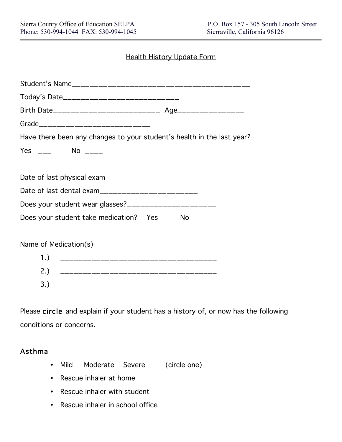#### Health History Update Form

| Today's Date______________________________                             |
|------------------------------------------------------------------------|
|                                                                        |
| Grade_______________________________                                   |
| Have there been any changes to your student's health in the last year? |
| Yes ___ No ____                                                        |
|                                                                        |
| Date of last physical exam ______________________                      |
| Date of last dental exam__________________________                     |
| Does your student wear glasses?_______________________                 |
| Does your student take medication? Yes<br>No                           |
|                                                                        |
| Name of Medication(s)                                                  |
| 1.)<br>______________________________________                          |
|                                                                        |
| 3.)                                                                    |

Please circle and explain if your student has a history of, or now has the following conditions or concerns.

#### Asthma

- Mild Moderate Severe (circle one)
- Rescue inhaler at home
- Rescue inhaler with student
- Rescue inhaler in school office